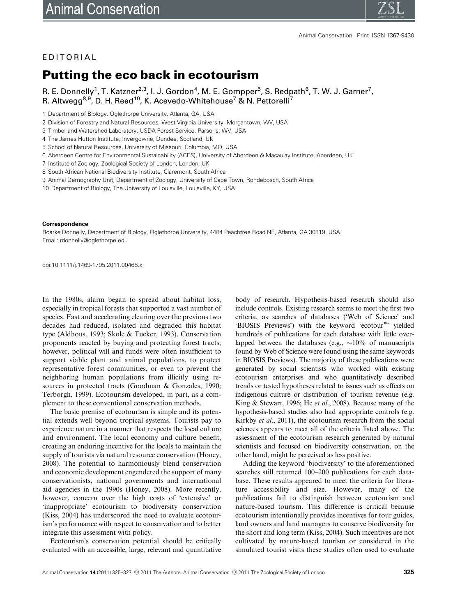

## EDITORIAL

## Putting the eco back in ecotourism

R. E. Donnelly<sup>1</sup>, T. Katzner<sup>2,3</sup>, I. J. Gordon<sup>4</sup>, M. E. Gompper<sup>5</sup>, S. Redpath<sup>6</sup>, T. W. J. Garner<sup>7</sup>, R. Altwegg<sup>8,9</sup>, D. H. Reed<sup>10</sup>, K. Acevedo-Whitehouse<sup>7</sup> & N. Pettorelli<sup>7</sup>

1 Department of Biology, Oglethorpe University, Atlanta, GA, USA

- 8 South African National Biodiversity Institute, Claremont, South Africa
- 9 Animal Demography Unit, Department of Zoology, University of Cape Town, Rondebosch, South Africa
- 10 Department of Biology, The University of Louisville, Louisville, KY, USA

## **Correspondence**

Roarke Donnelly, Department of Biology, Oglethorpe University, 4484 Peachtree Road NE, Atlanta, GA 30319, USA. Email: [rdonnelly@oglethorpe.edu](mailto:rdonnelly@oglethorpe.edu)

doi:10.1111/j.1469-1795.2011.00468.x

In the 1980s, alarm began to spread about habitat loss, especially in tropical forests that supported a vast number of species. Fast and accelerating clearing over the previous two decades had reduced, isolated and degraded this habitat type (Aldhous, 1993; Skole & Tucker, 1993). Conservation proponents reacted by buying and protecting forest tracts; however, political will and funds were often insufficient to support viable plant and animal populations, to protect representative forest communities, or even to prevent the neighboring human populations from illicitly using resources in protected tracts (Goodman & Gonzales, 1990; Terborgh, 1999). Ecotourism developed, in part, as a complement to these conventional conservation methods.

The basic premise of ecotourism is simple and its potential extends well beyond tropical systems. Tourists pay to experience nature in a manner that respects the local culture and environment. The local economy and culture benefit, creating an enduring incentive for the locals to maintain the supply of tourists via natural resource conservation (Honey, 2008). The potential to harmoniously blend conservation and economic development engendered the support of many conservationists, national governments and international aid agencies in the 1990s (Honey, 2008). More recently, however, concern over the high costs of 'extensive' or 'inappropriate' ecotourism to biodiversity conservation (Kiss, 2004) has underscored the need to evaluate ecotourism's performance with respect to conservation and to better integrate this assessment with policy.

Ecotourism's conservation potential should be critically evaluated with an accessible, large, relevant and quantitative body of research. Hypothesis-based research should also include controls. Existing research seems to meet the first two criteria, as searches of databases ('Web of Science' and 'BIOSIS Previews') with the keyword 'ecotour<sup>\*</sup>' yielded hundreds of publications for each database with little overlapped between the databases (e.g.,  $\sim$ 10% of manuscripts found by Web of Science were found using the same keywords in BIOSIS Previews). The majority of these publications were generated by social scientists who worked with existing ecotourism enterprises and who quantitatively described trends or tested hypotheses related to issues such as effects on indigenous culture or distribution of tourism revenue (e.g. King & Stewart, 1996; He et al., 2008). Because many of the hypothesis-based studies also had appropriate controls (e.g. Kirkby et al., 2011), the ecotourism research from the social sciences appears to meet all of the criteria listed above. The assessment of the ecotourism research generated by natural scientists and focused on biodiversity conservation, on the other hand, might be perceived as less positive.

Adding the keyword 'biodiversity' to the aforementioned searches still returned 100–200 publications for each database. These results appeared to meet the criteria for literature accessibility and size. However, many of the publications fail to distinguish between ecotourism and nature-based tourism. This difference is critical because ecotourism intentionally provides incentives for tour guides, land owners and land managers to conserve biodiversity for the short and long term (Kiss, 2004). Such incentives are not cultivated by nature-based tourism or considered in the simulated tourist visits these studies often used to evaluate

<sup>2</sup> Division of Forestry and Natural Resources, West Virginia University, Morgantown, WV, USA

<sup>3</sup> Timber and Watershed Laboratory, USDA Forest Service, Parsons, WV, USA

<sup>4</sup> The James Hutton Institute, Invergowrie, Dundee, Scotland, UK

<sup>5</sup> School of Natural Resources, University of Missouri, Columbia, MO, USA

<sup>6</sup> Aberdeen Centre for Environmental Sustainability (ACES), University of Aberdeen & Macaulay Institute, Aberdeen, UK

<sup>7</sup> Institute of Zoology, Zoological Society of London, London, UK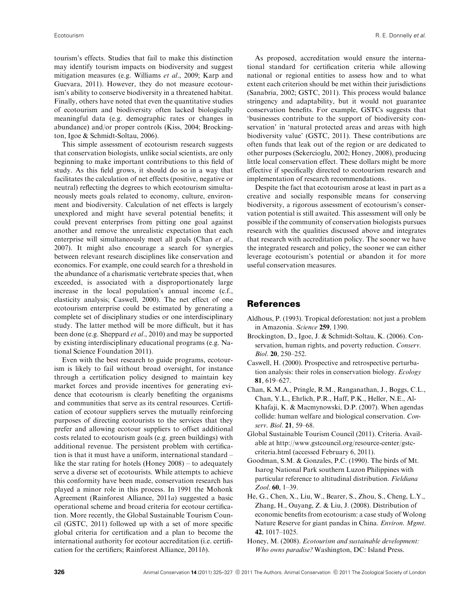tourism's effects. Studies that fail to make this distinction may identify tourism impacts on biodiversity and suggest mitigation measures (e.g. Williams et al., 2009; Karp and Guevara, 2011). However, they do not measure ecotourism's ability to conserve biodiversity in a threatened habitat. Finally, others have noted that even the quantitative studies of ecotourism and biodiversity often lacked biologically meaningful data (e.g. demographic rates or changes in abundance) and/or proper controls (Kiss, 2004; Brockington, Igoe & Schmidt-Soltau, 2006).

This simple assessment of ecotourism research suggests that conservation biologists, unlike social scientists, are only beginning to make important contributions to this field of study. As this field grows, it should do so in a way that facilitates the calculation of net effects (positive, negative or neutral) reflecting the degrees to which ecotourism simultaneously meets goals related to economy, culture, environment and biodiversity. Calculation of net effects is largely unexplored and might have several potential benefits; it could prevent enterprises from pitting one goal against another and remove the unrealistic expectation that each enterprise will simultaneously meet all goals (Chan et al., 2007). It might also encourage a search for synergies between relevant research disciplines like conservation and economics. For example, one could search for a threshold in the abundance of a charismatic vertebrate species that, when exceeded, is associated with a disproportionately large increase in the local population's annual income (c.f., elasticity analysis; Caswell, 2000). The net effect of one ecotourism enterprise could be estimated by generating a complete set of disciplinary studies or one interdisciplinary study. The latter method will be more difficult, but it has been done (e.g. Sheppard *et al.*, 2010) and may be supported by existing interdisciplinary educational programs (e.g. National Science Foundation 2011).

Even with the best research to guide programs, ecotourism is likely to fail without broad oversight, for instance through a certification policy designed to maintain key market forces and provide incentives for generating evidence that ecotourism is clearly benefiting the organisms and communities that serve as its central resources. Certification of ecotour suppliers serves the mutually reinforcing purposes of directing ecotourists to the services that they prefer and allowing ecotour suppliers to offset additional costs related to ecotourism goals (e.g. green buildings) with additional revenue. The persistent problem with certification is that it must have a uniform, international standard – like the star rating for hotels (Honey 2008) – to adequately serve a diverse set of ecotourists. While attempts to achieve this conformity have been made, conservation research has played a minor role in this process. In 1991 the Mohonk Agreement (Rainforest Alliance, 2011a) suggested a basic operational scheme and broad criteria for ecotour certification. More recently, the Global Sustainable Tourism Council (GSTC, 2011) followed up with a set of more specific global criteria for certification and a plan to become the international authority for ecotour accreditation (i.e. certification for the certifiers; Rainforest Alliance, 2011b).

As proposed, accreditation would ensure the international standard for certification criteria while allowing national or regional entities to assess how and to what extent each criterion should be met within their jurisdictions (Sanabria, 2002; GSTC, 2011). This process would balance stringency and adaptability, but it would not guarantee conservation benefits. For example, GSTCs suggests that 'businesses contribute to the support of biodiversity conservation' in 'natural protected areas and areas with high biodiversity value' (GSTC, 2011). These contributions are often funds that leak out of the region or are dedicated to other purposes (Sekercioglu, 2002; Honey, 2008), producing little local conservation effect. These dollars might be more effective if specifically directed to ecotourism research and implementation of research recommendations.

Despite the fact that ecotourism arose at least in part as a creative and socially responsible means for conserving biodiversity, a rigorous assessment of ecotourism's conservation potential is still awaited. This assessment will only be possible if the community of conservation biologists pursues research with the qualities discussed above and integrates that research with accreditation policy. The sooner we have the integrated research and policy, the sooner we can either leverage ecotourism's potential or abandon it for more useful conservation measures.

## References

- Aldhous, P. (1993). Tropical deforestation: not just a problem in Amazonia. Science 259, 1390.
- Brockington, D., Igoe, J. & Schmidt-Soltau, K. (2006). Conservation, human rights, and poverty reduction. Conserv. Biol. 20, 250–252.
- Caswell, H. (2000). Prospective and retrospective perturbation analysis: their roles in conservation biology. Ecology 81, 619–627.
- Chan, K.M.A., Pringle, R.M., Ranganathan, J., Boggs, C.L., Chan, Y.L., Ehrlich, P.R., Haff, P.K., Heller, N.E., Al-Khafaji, K. & Macmynowski, D.P. (2007). When agendas collide: human welfare and biological conservation. Conserv. Biol. 21, 59–68.
- Global Sustainable Tourism Council (2011). Criteria. Available at [http://www.gstcouncil.org/resource-center/gstc](http://www.gstcouncil.org/resource-center/gstc-criteria.html)[criteria.html](http://www.gstcouncil.org/resource-center/gstc-criteria.html) (accessed February 6, 2011).
- Goodman, S.M. & Gonzales, P.C. (1990). The birds of Mt. Isarog National Park southern Luzon Philippines with particular reference to altitudinal distribution. Fieldiana Zool. 60, 1–39.
- He, G., Chen, X., Liu, W., Bearer, S., Zhou, S., Cheng, L.Y., Zhang, H., Ouyang, Z. & Liu, J. (2008). Distribution of economic benefits from ecotourism: a case study of Wolong Nature Reserve for giant pandas in China. Environ. Mgmt. 42, 1017–1025.
- Honey, M. (2008). Ecotourism and sustainable development: Who owns paradise? Washington, DC: Island Press.